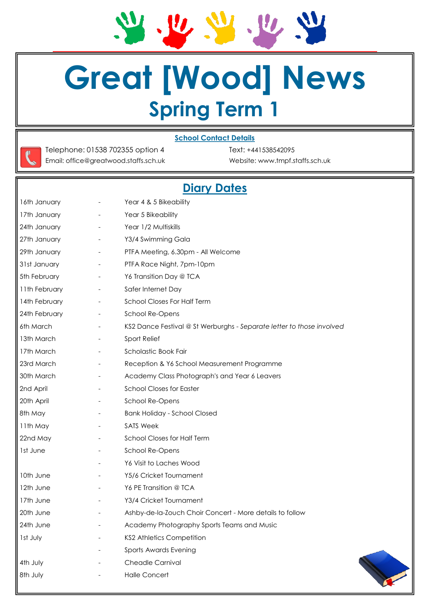$\frac{1}{2}$  $\bm{v}, \bm{v}, \bm{w}$ 

# **Great [Wood] News Spring Term 1**

#### **School Contact Details**

Telephone: 01538 702355 option 4 Text: +441538542095 Email: office@greatwood.staffs.sch.uk Website: www.tmpf.staffs.sch.uk

## **Diary Dates**

| 16th January  | $\overline{\phantom{a}}$ | Year 4 & 5 Bikeability                                                |
|---------------|--------------------------|-----------------------------------------------------------------------|
| 17th January  | $\overline{\phantom{a}}$ | Year 5 Bikeability                                                    |
| 24th January  | $\qquad \qquad -$        | Year 1/2 Multiskills                                                  |
| 27th January  | $\overline{\phantom{a}}$ | Y3/4 Swimming Gala                                                    |
| 29th January  | $\overline{\phantom{a}}$ | PTFA Meeting, 6.30pm - All Welcome                                    |
| 31st January  | $\overline{\phantom{a}}$ | PTFA Race Night, 7pm-10pm                                             |
| 5th February  | $\overline{\phantom{a}}$ | Y6 Transition Day @ TCA                                               |
| 11th February | $\overline{\phantom{a}}$ | Safer Internet Day                                                    |
| 14th February | $\overline{\phantom{a}}$ | School Closes For Half Term                                           |
| 24th February | $\overline{\phantom{a}}$ | School Re-Opens                                                       |
| 6th March     | $\overline{\phantom{a}}$ | KS2 Dance Festival @ St Werburghs - Separate letter to those involved |
| 13th March    | $\overline{\phantom{a}}$ | Sport Relief                                                          |
| 17th March    | $\overline{\phantom{a}}$ | Scholastic Book Fair                                                  |
| 23rd March    | $\overline{\phantom{a}}$ | Reception & Y6 School Measurement Programme                           |
| 30th March    | $\overline{\phantom{a}}$ | Academy Class Photograph's and Year 6 Leavers                         |
| 2nd April     |                          | <b>School Closes for Easter</b>                                       |
| 20th April    | $\overline{\phantom{a}}$ | School Re-Opens                                                       |
| 8th May       |                          | <b>Bank Holiday - School Closed</b>                                   |
| 11th May      | $\overline{\phantom{a}}$ | <b>SATS Week</b>                                                      |
| 22nd May      | $\overline{\phantom{a}}$ | School Closes for Half Term                                           |
| 1st June      | $\overline{\phantom{a}}$ | School Re-Opens                                                       |
|               | $\overline{\phantom{a}}$ | Y6 Visit to Laches Wood                                               |
| 10th June     |                          | Y5/6 Cricket Tournament                                               |
| 12th June     | $\overline{\phantom{a}}$ | Y6 PE Transition @ TCA                                                |
| 17th June     |                          | Y3/4 Cricket Tournament                                               |
| 20th June     |                          | Ashby-de-la-Zouch Choir Concert - More details to follow              |
| 24th June     |                          | Academy Photography Sports Teams and Music                            |
| Ist July      |                          | <b>KS2 Athletics Competition</b>                                      |
|               |                          | Sports Awards Evening                                                 |
| 4th July      |                          | Cheadle Carnival                                                      |
| 8th July      |                          | <b>Halle Concert</b>                                                  |
|               |                          |                                                                       |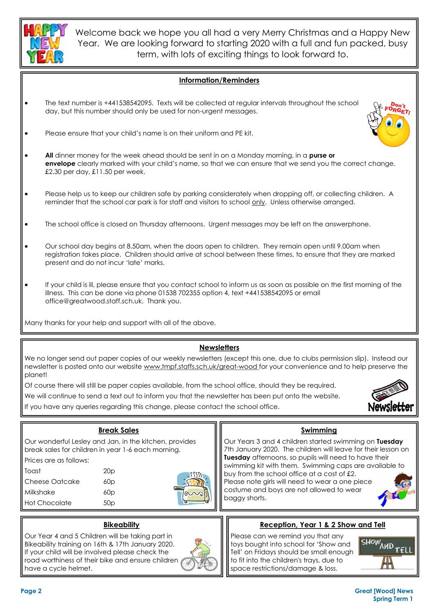

Welcome back we hope you all had a very Merry Christmas and a Happy New Year. We are looking forward to starting 2020 with a full and fun packed, busy term, with lots of exciting things to look forward to.

#### **Information/Reminders**

- The text number is +441538542095. Texts will be collected at regular intervals throughout the school day, but this number should only be used for non-urgent messages.
- Please ensure that your child's name is on their uniform and PE kit.
- **All** dinner money for the week ahead should be sent in on a Monday morning, in a **purse or envelope** clearly marked with your child's name, so that we can ensure that we send you the correct change. £2.30 per day, £11.50 per week.
- Please help us to keep our children safe by parking considerately when dropping off, or collecting children. A reminder that the school car park is for staff and visitors to school only. Unless otherwise arranged.
- The school office is closed on Thursday afternoons. Urgent messages may be left on the answerphone.
- Our school day begins at 8.50am, when the doors open to children. They remain open until 9.00am when registration takes place. Children should arrive at school between these times, to ensure that they are marked present and do not incur 'late' marks.
- If your child is ill, please ensure that you contact school to inform us as soon as possible on the first morning of the illness. This can be done via phone 01538 702355 option 4, text +441538542095 or email office@greatwood.staff.sch.uk. Thank you.

Many thanks for your help and support with all of the above.

#### **Newsletters**

We no longer send out paper copies of our weekly newsletters (except this one, due to clubs permission slip). Instead our newsletter is posted onto our website www.tmpf.staffs.sch.uk/great-wood for your convenience and to help preserve the planet!

Of course there will still be paper copies available, from the school office, should they be required.

We will continue to send a text out to inform you that the newsletter has been put onto the website.

If you have any queries regarding this change, please contact the school office.



|                                  | <b>Break Sales</b>                                                                                                 | Swimming                                                                                                                                                                         |  |
|----------------------------------|--------------------------------------------------------------------------------------------------------------------|----------------------------------------------------------------------------------------------------------------------------------------------------------------------------------|--|
|                                  | Our wonderful Lesley and Jan, in the kitchen, provides<br>  break sales for children in year 1-6 each morning.     | Our Years 3 and 4 children started swimming on Tuesday<br>7th January 2020. The children will leave for their lesson on<br>Tuesday afternoons, so pupils will need to have their |  |
| <b>Il</b> Prices are as follows: |                                                                                                                    |                                                                                                                                                                                  |  |
| I <b>I</b> Toast                 | 20p                                                                                                                | swimming kit with them. Swimming caps are available to<br>buy from the school office at a cost of £2.                                                                            |  |
| <b>II</b> Cheese Oatcake         | 60p                                                                                                                | Please note girls will need to wear a one piece                                                                                                                                  |  |
| <b>II</b> Milkshake              | $\sim$ i<br>60p                                                                                                    | costume and boys are not allowed to wear                                                                                                                                         |  |
| <b>II</b> Hot Chocolate          | 50 <sub>p</sub>                                                                                                    | baggy shorts.                                                                                                                                                                    |  |
|                                  | <b>Bikeability</b>                                                                                                 | Reception, Year 1 & 2 Show and Tell                                                                                                                                              |  |
|                                  | Our Year 4 and 5 Children will be taking part in<br>$\parallel$ Rikogbility training on 14th 8, 17th, January 2020 | Please can we remind you that any<br>$ $ SHOW<br>tour hought into school for 'Show and                                                                                           |  |

## Bikeability training on 16th & 17th January 2020. If your child will be involved please check the road worthiness of their bike and ensure children have a cycle helmet.

toys bought into school for 'Show and Tell' on Fridays should be small enough to fit into the children's trays, due to space restrictions/damage & loss.



#### **Page 2 Great [Wood] News Spring Term 1**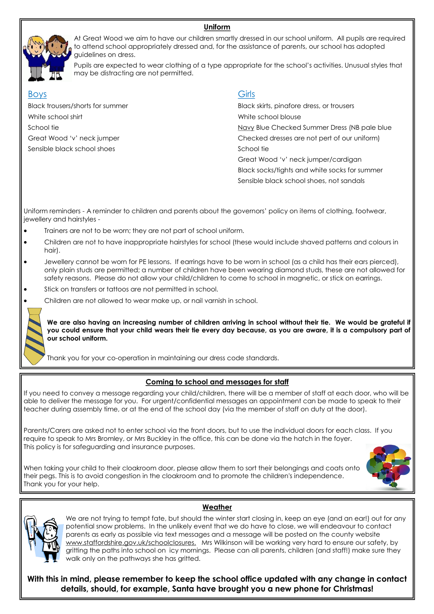#### **Uniform**



At Great Wood we aim to have our children smartly dressed in our school uniform. All pupils are required to attend school appropriately dressed and, for the assistance of parents, our school has adopted guidelines on dress.

Pupils are expected to wear clothing of a type appropriate for the school's activities. Unusual styles that may be distracting are not permitted.

#### Boys **Girls**

White school shirt White school blouse Sensible black school shoes School tie School tie

Black trousers/shorts for summer Black skirts, pinafore dress, or trousers School tie Navy Blue Checked Summer Dress (NB pale blue Checked Summer Dress (NB pale blue Great Wood 'v' neck jumper checked dresses are not pert of our uniform) Great Wood 'v' neck jumper/cardigan

Black socks/tights and white socks for summer Sensible black school shoes, not sandals

Uniform reminders - A reminder to children and parents about the governors' policy on items of clothing, footwear, jewellery and hairstyles -

- Trainers are not to be worn; they are not part of school uniform.
- Children are not to have inappropriate hairstyles for school (these would include shaved patterns and colours in hair).
- Jewellery cannot be worn for PE lessons. If earrings have to be worn in school (as a child has their ears pierced), only plain studs are permitted; a number of children have been wearing diamond studs, these are not allowed for safety reasons. Please do not allow your child/children to come to school in magnetic, or stick on earrings.
- Stick on transfers or tattoos are not permitted in school.
- Children are not allowed to wear make up, or nail varnish in school.

We are also having an increasing number of children arriving in school without their tie. We would be grateful if **you could ensure that your child wears their tie every day because, as you are aware, it is a compulsory part of our school uniform.** 

Thank you for your co-operation in maintaining our dress code standards.

## **Coming to school and messages for staff**

If you need to convey a message regarding your child/children, there will be a member of staff at each door, who will be able to deliver the message for you. For urgent/confidential messages an appointment can be made to speak to their teacher during assembly time, or at the end of the school day (via the member of staff on duty at the door).

Parents/Carers are asked not to enter school via the front doors, but to use the individual doors for each class. If you require to speak to Mrs Bromley, or Mrs Buckley in the office, this can be done via the hatch in the foyer. This policy is for safeguarding and insurance purposes.

When taking your child to their cloakroom door, please allow them to sort their belongings and coats onto their pegs. This is to avoid congestion in the cloakroom and to promote the children's independence. Thank you for your help.





We are not trying to tempt fate, but should the winter start closing in, keep an eye (and an ear!) out for any potential snow problems. In the unlikely event that we do have to close, we will endeavour to contact parents as early as possible via text messages and a message will be posted on the county website www.staffordshire.gov.uk/schoolclosures. Mrs Wilkinson will be working very hard to ensure our safety, by gritting the paths into school on icy mornings. Please can all parents, children (and staff!) make sure they walk only on the pathways she has gritted.

**With this in mind, please remember to keep the school office updated with any change in contact details, should, for example, Santa have brought you a new phone for Christmas!** 

**Weather**